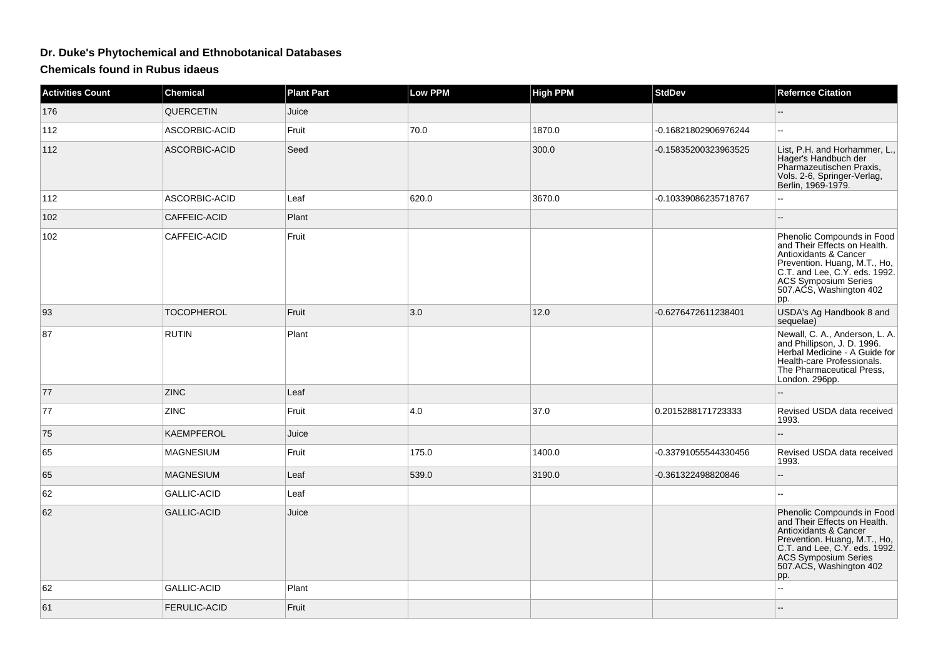## **Dr. Duke's Phytochemical and Ethnobotanical Databases**

**Chemicals found in Rubus idaeus**

| <b>Activities Count</b> | <b>Chemical</b>     | <b>Plant Part</b> | <b>Low PPM</b> | <b>High PPM</b> | <b>StdDev</b>        | <b>Refernce Citation</b>                                                                                                                                                                                       |
|-------------------------|---------------------|-------------------|----------------|-----------------|----------------------|----------------------------------------------------------------------------------------------------------------------------------------------------------------------------------------------------------------|
| 176                     | QUERCETIN           | Juice             |                |                 |                      |                                                                                                                                                                                                                |
| 112                     | ASCORBIC-ACID       | Fruit             | 70.0           | 1870.0          | -0.16821802906976244 | 44                                                                                                                                                                                                             |
| 112                     | ASCORBIC-ACID       | Seed              |                | 300.0           | -0.15835200323963525 | List, P.H. and Horhammer, L.,<br>Hager's Handbuch der<br>Pharmazeutischen Praxis,<br>Vols. 2-6, Springer-Verlag,<br>Berlin, 1969-1979.                                                                         |
| 112                     | ASCORBIC-ACID       | Leaf              | 620.0          | 3670.0          | -0.10339086235718767 | ۵.                                                                                                                                                                                                             |
| 102                     | CAFFEIC-ACID        | Plant             |                |                 |                      |                                                                                                                                                                                                                |
| 102                     | CAFFEIC-ACID        | Fruit             |                |                 |                      | Phenolic Compounds in Food<br>and Their Effects on Health.<br>Antioxidants & Cancer<br>Prevention. Huang, M.T., Ho,<br>C.T. and Lee, C.Y. eds. 1992.<br>ACS Symposium Series<br>507.ACS, Washington 402<br>pp. |
| 93                      | <b>TOCOPHEROL</b>   | Fruit             | 3.0            | 12.0            | -0.6276472611238401  | USDA's Ag Handbook 8 and<br>sequelae)                                                                                                                                                                          |
| 87                      | <b>RUTIN</b>        | Plant             |                |                 |                      | Newall, C. A., Anderson, L. A.<br>and Phillipson, J. D. 1996.<br>Herbal Medicine - A Guide for<br>Health-care Professionals.<br>The Pharmaceutical Press.<br>London. 296pp.                                    |
| 77                      | <b>ZINC</b>         | Leaf              |                |                 |                      |                                                                                                                                                                                                                |
| 77                      | <b>ZINC</b>         | Fruit             | 4.0            | 37.0            | 0.2015288171723333   | Revised USDA data received<br>1993.                                                                                                                                                                            |
| 75                      | <b>KAEMPFEROL</b>   | Juice             |                |                 |                      |                                                                                                                                                                                                                |
| 65                      | <b>MAGNESIUM</b>    | Fruit             | 175.0          | 1400.0          | -0.33791055544330456 | Revised USDA data received<br>1993.                                                                                                                                                                            |
| 65                      | <b>MAGNESIUM</b>    | Leaf              | 539.0          | 3190.0          | -0.361322498820846   |                                                                                                                                                                                                                |
| 62                      | GALLIC-ACID         | Leaf              |                |                 |                      |                                                                                                                                                                                                                |
| 62                      | <b>GALLIC-ACID</b>  | Juice             |                |                 |                      | Phenolic Compounds in Food<br>and Their Effects on Health.<br>Antioxidants & Cancer<br>Prevention. Huang, M.T., Ho, C.T. and Lee, C.Y. eds. 1992.<br>ACS Symposium Series<br>507.ACS, Washington 402<br>pp.    |
| 62                      | <b>GALLIC-ACID</b>  | Plant             |                |                 |                      | $\overline{a}$                                                                                                                                                                                                 |
| 61                      | <b>FERULIC-ACID</b> | Fruit             |                |                 |                      |                                                                                                                                                                                                                |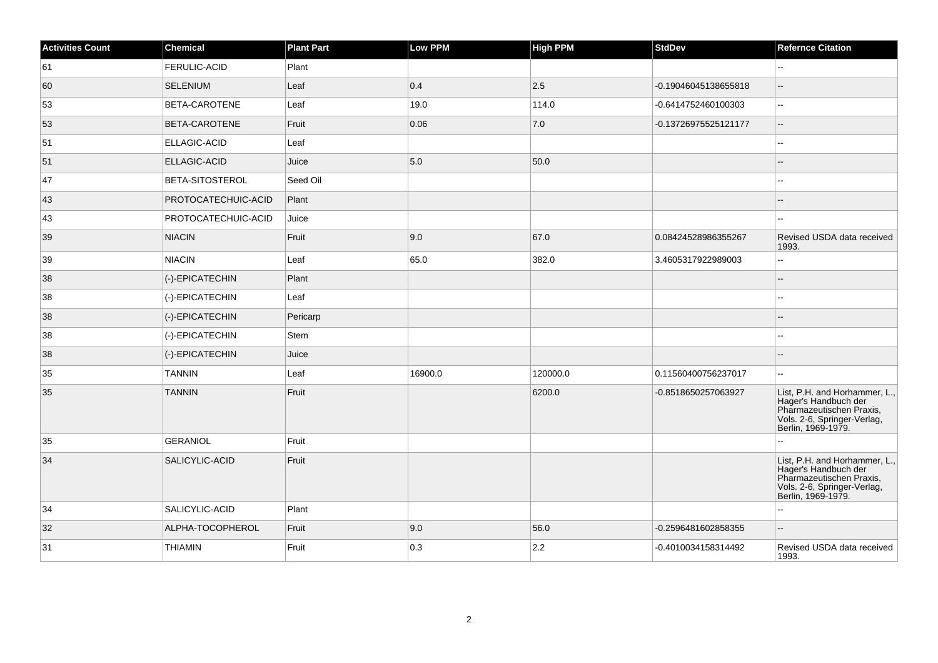| <b>Activities Count</b> | <b>Chemical</b>            | <b>Plant Part</b> | <b>Low PPM</b> | <b>High PPM</b> | <b>StdDev</b>        | <b>Refernce Citation</b>                                                                                                               |
|-------------------------|----------------------------|-------------------|----------------|-----------------|----------------------|----------------------------------------------------------------------------------------------------------------------------------------|
| 61                      | <b>FERULIC-ACID</b>        | Plant             |                |                 |                      | $\mathbf{u}$                                                                                                                           |
| 60                      | SELENIUM                   | Leaf              | 0.4            | 2.5             | -0.19046045138655818 |                                                                                                                                        |
| 53                      | <b>BETA-CAROTENE</b>       | Leaf              | 19.0           | 114.0           | -0.6414752460100303  | Щ,                                                                                                                                     |
| 53                      | <b>BETA-CAROTENE</b>       | Fruit             | 0.06           | 7.0             | -0.13726975525121177 | $\overline{\phantom{a}}$                                                                                                               |
| 51                      | <b>ELLAGIC-ACID</b>        | Leaf              |                |                 |                      | --                                                                                                                                     |
| 51                      | <b>ELLAGIC-ACID</b>        | Juice             | 5.0            | 50.0            |                      |                                                                                                                                        |
| 47                      | <b>BETA-SITOSTEROL</b>     | Seed Oil          |                |                 |                      |                                                                                                                                        |
| 43                      | PROTOCATECHUIC-ACID        | Plant             |                |                 |                      |                                                                                                                                        |
| 43                      | <b>PROTOCATECHUIC-ACID</b> | Juice             |                |                 |                      |                                                                                                                                        |
| 39                      | <b>NIACIN</b>              | Fruit             | 9.0            | 67.0            | 0.08424528986355267  | Revised USDA data received<br>1993.                                                                                                    |
| 39                      | NIACIN                     | Leaf              | 65.0           | 382.0           | 3.4605317922989003   | Ξ.                                                                                                                                     |
| 38                      | (-)-EPICATECHIN            | Plant             |                |                 |                      | $-$                                                                                                                                    |
| 38                      | (-)-EPICATECHIN            | Leaf              |                |                 |                      | $\overline{a}$                                                                                                                         |
| 38                      | (-)-EPICATECHIN            | Pericarp          |                |                 |                      |                                                                                                                                        |
| 38                      | (-)-EPICATECHIN            | Stem              |                |                 |                      | --                                                                                                                                     |
| 38                      | (-)-EPICATECHIN            | Juice             |                |                 |                      |                                                                                                                                        |
| 35                      | <b>TANNIN</b>              | Leaf              | 16900.0        | 120000.0        | 0.11560400756237017  | --                                                                                                                                     |
| 35                      | <b>TANNIN</b>              | Fruit             |                | 6200.0          | -0.8518650257063927  | List, P.H. and Horhammer, L.,<br>Hager's Handbuch der<br>Pharmazeutischen Praxis,<br>Vols. 2-6, Springer-Verlag,<br>Berlin, 1969-1979. |
| 35                      | GERANIOL                   | Fruit             |                |                 |                      |                                                                                                                                        |
| 34                      | SALICYLIC-ACID             | Fruit             |                |                 |                      | List, P.H. and Horhammer, L.,<br>Hager's Handbuch der<br>Pharmazeutischen Praxis,<br>Vols. 2-6, Springer-Verlag,<br>Berlin, 1969-1979. |
| 34                      | SALICYLIC-ACID             | Plant             |                |                 |                      | ۵.                                                                                                                                     |
| 32                      | ALPHA-TOCOPHEROL           | Fruit             | 9.0            | 56.0            | -0.2596481602858355  | $-$                                                                                                                                    |
| 31                      | <b>THIAMIN</b>             | Fruit             | 0.3            | 2.2             | -0.4010034158314492  | Revised USDA data received<br>1993.                                                                                                    |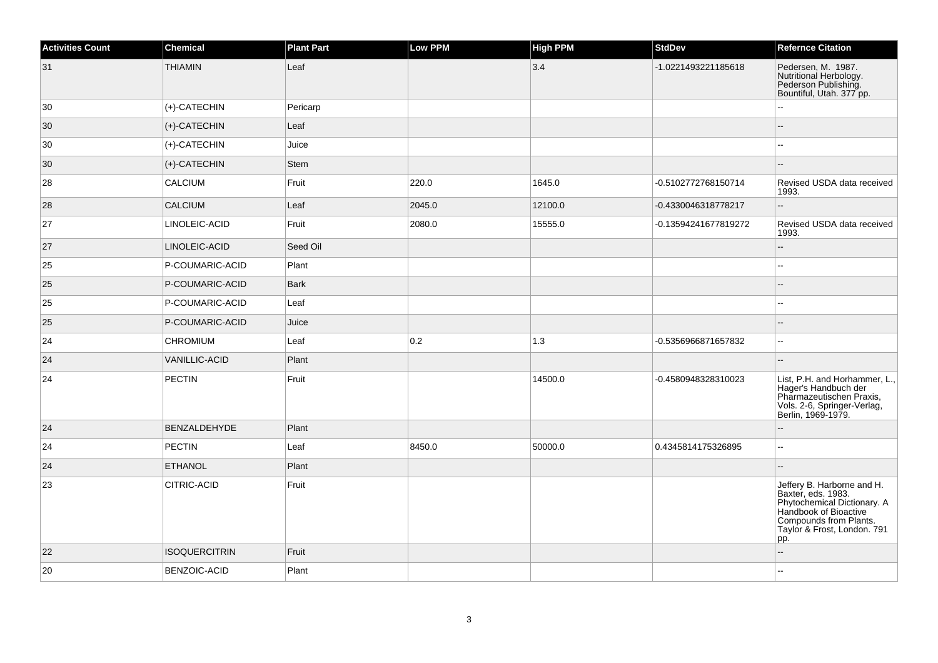| <b>Activities Count</b> | <b>Chemical</b>              | <b>Plant Part</b> | Low PPM | <b>High PPM</b> | <b>StdDev</b>        | <b>Refernce Citation</b>                                                                                                                                                 |
|-------------------------|------------------------------|-------------------|---------|-----------------|----------------------|--------------------------------------------------------------------------------------------------------------------------------------------------------------------------|
| 31                      | <b>THIAMIN</b>               | Leaf              |         | 3.4             | -1.0221493221185618  | Pedersen, M. 1987.<br>Nutritional Herbology.<br>Pederson Publishing.<br>Bountiful, Utah. 377 pp.                                                                         |
| 30                      | $ $ (+)-CATECHIN             | Pericarp          |         |                 |                      |                                                                                                                                                                          |
| 30                      | $ \left( +\right)$ -CATECHIN | Leaf              |         |                 |                      | Ц.                                                                                                                                                                       |
| 30                      | $ $ (+)-CATECHIN             | Juice             |         |                 |                      |                                                                                                                                                                          |
| 30                      | $ (+)$ -CATECHIN             | Stem              |         |                 |                      |                                                                                                                                                                          |
| 28                      | <b>CALCIUM</b>               | Fruit             | 220.0   | 1645.0          | -0.5102772768150714  | Revised USDA data received<br>1993.                                                                                                                                      |
| 28                      | <b>CALCIUM</b>               | Leaf              | 2045.0  | 12100.0         | -0.4330046318778217  | $-$                                                                                                                                                                      |
| 27                      | LINOLEIC-ACID                | Fruit             | 2080.0  | 15555.0         | -0.13594241677819272 | Revised USDA data received<br>1993.                                                                                                                                      |
| 27                      | LINOLEIC-ACID                | Seed Oil          |         |                 |                      |                                                                                                                                                                          |
| 25                      | P-COUMARIC-ACID              | Plant             |         |                 |                      |                                                                                                                                                                          |
| 25                      | P-COUMARIC-ACID              | Bark              |         |                 |                      |                                                                                                                                                                          |
| 25                      | P-COUMARIC-ACID              | Leaf              |         |                 |                      | $\overline{a}$                                                                                                                                                           |
| 25                      | P-COUMARIC-ACID              | Juice             |         |                 |                      | ц,                                                                                                                                                                       |
| 24                      | <b>CHROMIUM</b>              | Leaf              | 0.2     | 1.3             | -0.5356966871657832  | $\sim$                                                                                                                                                                   |
| 24                      | <b>VANILLIC-ACID</b>         | Plant             |         |                 |                      | $-$                                                                                                                                                                      |
| 24                      | <b>PECTIN</b>                | Fruit             |         | 14500.0         | -0.4580948328310023  | List, P.H. and Horhammer, L.,<br>Hager's Handbuch der<br>Pharmazeutischen Praxis,<br>Vols. 2-6, Springer-Verlag,<br>Berlin, 1969-1979.                                   |
| 24                      | <b>BENZALDEHYDE</b>          | Plant             |         |                 |                      |                                                                                                                                                                          |
| 24                      | PECTIN                       | Leaf              | 8450.0  | 50000.0         | 0.4345814175326895   | ۵.                                                                                                                                                                       |
| 24                      | <b>ETHANOL</b>               | Plant             |         |                 |                      |                                                                                                                                                                          |
| 23                      | CITRIC-ACID                  | Fruit             |         |                 |                      | Jeffery B. Harborne and H.<br>Baxter, eds. 1983.<br>Phytochemical Dictionary. A<br>Handbook of Bioactive<br>Compounds from Plants.<br>Taylor & Frost, London. 791<br>pp. |
| 22                      | <b>ISOQUERCITRIN</b>         | Fruit             |         |                 |                      |                                                                                                                                                                          |
| 20                      | BENZOIC-ACID                 | Plant             |         |                 |                      |                                                                                                                                                                          |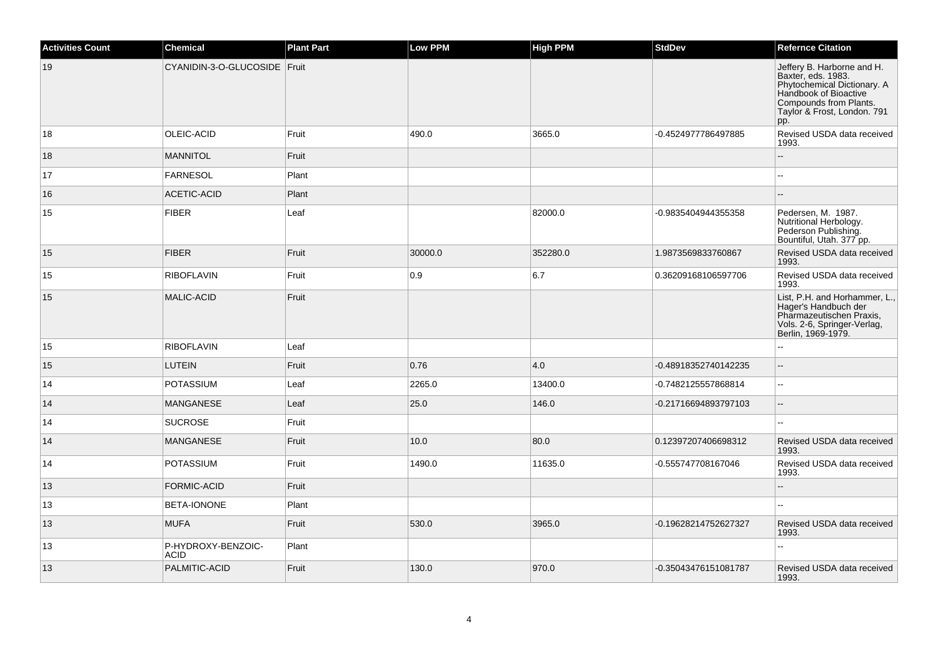| <b>Activities Count</b> | <b>Chemical</b>                   | <b>Plant Part</b> | Low PPM | <b>High PPM</b> | <b>StdDev</b>        | <b>Refernce Citation</b>                                                                                                                                                 |
|-------------------------|-----------------------------------|-------------------|---------|-----------------|----------------------|--------------------------------------------------------------------------------------------------------------------------------------------------------------------------|
| 19                      | CYANIDIN-3-O-GLUCOSIDE Fruit      |                   |         |                 |                      | Jeffery B. Harborne and H.<br>Baxter, eds. 1983.<br>Phytochemical Dictionary. A<br>Handbook of Bioactive<br>Compounds from Plants.<br>Taylor & Frost, London. 791<br>pp. |
| 18                      | OLEIC-ACID                        | Fruit             | 490.0   | 3665.0          | -0.4524977786497885  | Revised USDA data received<br>1993.                                                                                                                                      |
| 18                      | <b>MANNITOL</b>                   | Fruit             |         |                 |                      | uu.                                                                                                                                                                      |
| 17                      | FARNESOL                          | Plant             |         |                 |                      | ۵.                                                                                                                                                                       |
| 16                      | ACETIC-ACID                       | Plant             |         |                 |                      |                                                                                                                                                                          |
| 15                      | <b>FIBER</b>                      | Leaf              |         | 82000.0         | -0.9835404944355358  | Pedersen, M. 1987.<br>Nutritional Herbology.<br>Pederson Publishing.<br>Bountiful, Utah. 377 pp.                                                                         |
| 15                      | <b>FIBER</b>                      | Fruit             | 30000.0 | 352280.0        | 1.9873569833760867   | Revised USDA data received<br>1993.                                                                                                                                      |
| 15                      | <b>RIBOFLAVIN</b>                 | Fruit             | 0.9     | 6.7             | 0.36209168106597706  | Revised USDA data received<br>1993.                                                                                                                                      |
| 15                      | <b>MALIC-ACID</b>                 | Fruit             |         |                 |                      | List, P.H. and Horhammer, L.,<br>Hager's Handbuch der<br>Pharmazeutischen Praxis,<br>Vols. 2-6, Springer-Verlag,<br>Berlin, 1969-1979.                                   |
| 15                      | <b>RIBOFLAVIN</b>                 | Leaf              |         |                 |                      | L.                                                                                                                                                                       |
| 15                      | <b>LUTEIN</b>                     | Fruit             | 0.76    | 4.0             | -0.48918352740142235 | $\overline{a}$                                                                                                                                                           |
| 14                      | <b>POTASSIUM</b>                  | Leaf              | 2265.0  | 13400.0         | -0.7482125557868814  | Ξ.                                                                                                                                                                       |
| 14                      | <b>MANGANESE</b>                  | Leaf              | 25.0    | 146.0           | -0.21716694893797103 | $\qquad \qquad -$                                                                                                                                                        |
| 14                      | <b>SUCROSE</b>                    | Fruit             |         |                 |                      |                                                                                                                                                                          |
| 14                      | MANGANESE                         | Fruit             | 10.0    | 80.0            | 0.12397207406698312  | Revised USDA data received<br>1993.                                                                                                                                      |
| 14                      | <b>POTASSIUM</b>                  | Fruit             | 1490.0  | 11635.0         | -0.555747708167046   | Revised USDA data received<br>1993.                                                                                                                                      |
| 13                      | <b>FORMIC-ACID</b>                | Fruit             |         |                 |                      | ۵.                                                                                                                                                                       |
| 13                      | BETA-IONONE                       | Plant             |         |                 |                      | $\overline{a}$                                                                                                                                                           |
| 13                      | <b>MUFA</b>                       | Fruit             | 530.0   | 3965.0          | -0.19628214752627327 | Revised USDA data received<br>1993.                                                                                                                                      |
| 13                      | P-HYDROXY-BENZOIC-<br><b>ACID</b> | Plant             |         |                 |                      |                                                                                                                                                                          |
| 13                      | PALMITIC-ACID                     | Fruit             | 130.0   | 970.0           | -0.35043476151081787 | Revised USDA data received<br>1993.                                                                                                                                      |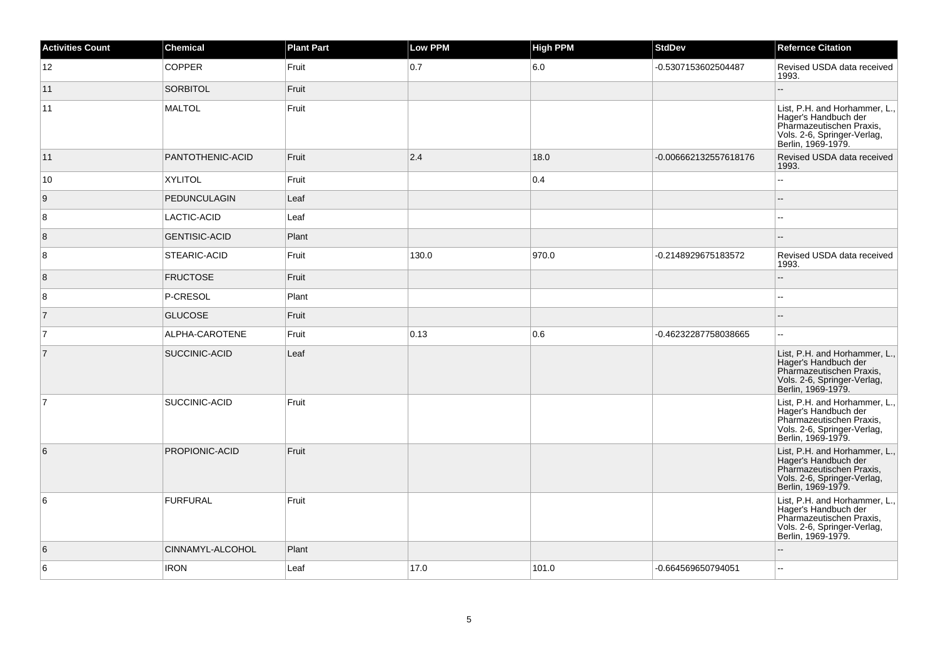| <b>Activities Count</b> | <b>Chemical</b>      | <b>Plant Part</b> | Low PPM | <b>High PPM</b> | <b>StdDev</b>         | <b>Refernce Citation</b>                                                                                                               |
|-------------------------|----------------------|-------------------|---------|-----------------|-----------------------|----------------------------------------------------------------------------------------------------------------------------------------|
| 12                      | <b>COPPER</b>        | Fruit             | 0.7     | 6.0             | -0.5307153602504487   | Revised USDA data received<br>1993.                                                                                                    |
| 11                      | <b>SORBITOL</b>      | Fruit             |         |                 |                       | Ξ.                                                                                                                                     |
| 11                      | <b>MALTOL</b>        | Fruit             |         |                 |                       | List, P.H. and Horhammer, L.,<br>Hager's Handbuch der<br>Pharmazeutischen Praxis,<br>Vols. 2-6, Springer-Verlag,<br>Berlin, 1969-1979. |
| 11                      | PANTOTHENIC-ACID     | Fruit             | 2.4     | 18.0            | -0.006662132557618176 | Revised USDA data received<br>1993.                                                                                                    |
| 10                      | <b>XYLITOL</b>       | Fruit             |         | 0.4             |                       | Ц,                                                                                                                                     |
| 9                       | <b>PEDUNCULAGIN</b>  | Leaf              |         |                 |                       |                                                                                                                                        |
| 8                       | <b>LACTIC-ACID</b>   | Leaf              |         |                 |                       |                                                                                                                                        |
| 8                       | <b>GENTISIC-ACID</b> | Plant             |         |                 |                       |                                                                                                                                        |
| 8                       | STEARIC-ACID         | Fruit             | 130.0   | 970.0           | -0.2148929675183572   | Revised USDA data received<br>1993.                                                                                                    |
| $\overline{8}$          | <b>FRUCTOSE</b>      | Fruit             |         |                 |                       | L.                                                                                                                                     |
| 8                       | P-CRESOL             | Plant             |         |                 |                       | Щ,                                                                                                                                     |
| $\overline{7}$          | <b>GLUCOSE</b>       | Fruit             |         |                 |                       | $-$                                                                                                                                    |
| $\overline{7}$          | ALPHA-CAROTENE       | Fruit             | 0.13    | 0.6             | -0.46232287758038665  | Щ,                                                                                                                                     |
| $\overline{7}$          | SUCCINIC-ACID        | Leaf              |         |                 |                       | List, P.H. and Horhammer, L.,<br>Hager's Handbuch der<br>Pharmazeutischen Praxis,<br>Vols. 2-6, Springer-Verlag,<br>Berlin, 1969-1979. |
| $\overline{7}$          | SUCCINIC-ACID        | Fruit             |         |                 |                       | List, P.H. and Horhammer, L.,<br>Hager's Handbuch der<br>Pharmazeutischen Praxis,<br>Vols. 2-6, Springer-Verlag,<br>Berlin, 1969-1979. |
| 6                       | PROPIONIC-ACID       | Fruit             |         |                 |                       | List, P.H. and Horhammer, L.,<br>Hager's Handbuch der<br>Pharmazeutischen Praxis,<br>Vols. 2-6, Springer-Verlag,<br>Berlin, 1969-1979. |
| 6                       | <b>FURFURAL</b>      | Fruit             |         |                 |                       | List, P.H. and Horhammer, L.,<br>Hager's Handbuch der<br>Pharmazeutischen Praxis,<br>Vols. 2-6, Springer-Verlag,<br>Berlin, 1969-1979. |
| 6                       | CINNAMYL-ALCOHOL     | Plant             |         |                 |                       |                                                                                                                                        |
| 6                       | <b>IRON</b>          | Leaf              | 17.0    | 101.0           | -0.664569650794051    | Щ,                                                                                                                                     |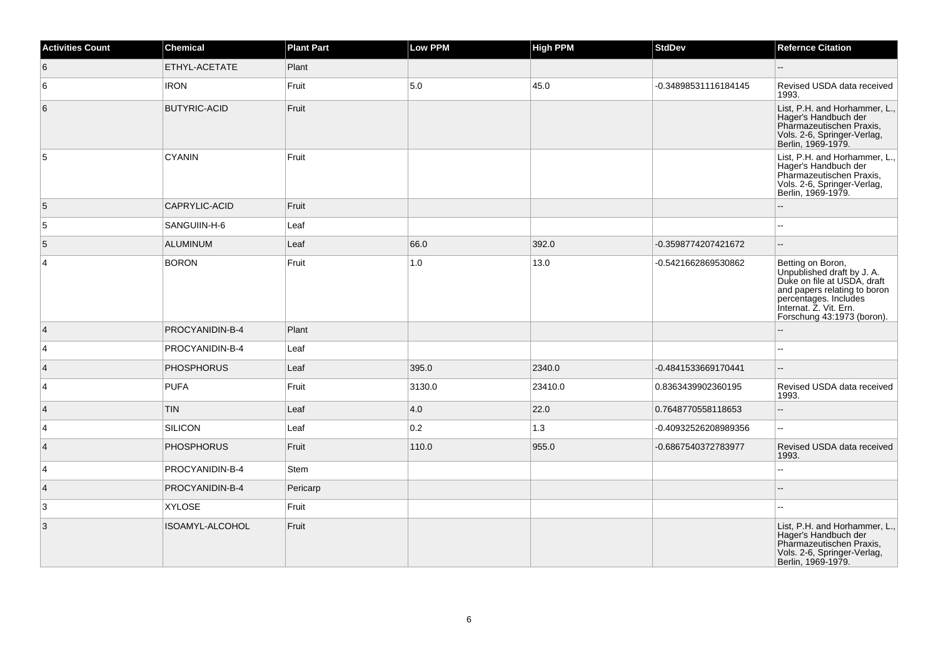| <b>Activities Count</b> | Chemical            | <b>Plant Part</b> | Low PPM | <b>High PPM</b> | <b>StdDev</b>        | <b>Refernce Citation</b>                                                                                                                                                                        |
|-------------------------|---------------------|-------------------|---------|-----------------|----------------------|-------------------------------------------------------------------------------------------------------------------------------------------------------------------------------------------------|
| 6                       | ETHYL-ACETATE       | Plant             |         |                 |                      | $-$                                                                                                                                                                                             |
| 6                       | <b>IRON</b>         | Fruit             | 5.0     | 45.0            | -0.34898531116184145 | Revised USDA data received<br>1993.                                                                                                                                                             |
| $\,6$                   | <b>BUTYRIC-ACID</b> | Fruit             |         |                 |                      | List, P.H. and Horhammer, L.,<br>Hager's Handbuch der<br>Pharmazeutischen Praxis,<br>Vols. 2-6, Springer-Verlag,<br>Berlin, 1969-1979.                                                          |
| 5                       | <b>CYANIN</b>       | Fruit             |         |                 |                      | List, P.H. and Horhammer, L.,<br>Hager's Handbuch der<br>Pharmazeutischen Praxis,<br>Vols. 2-6, Springer-Verlag,<br>Berlin, 1969-1979.                                                          |
| 5                       | CAPRYLIC-ACID       | Fruit             |         |                 |                      |                                                                                                                                                                                                 |
| $\sqrt{5}$              | SANGUIIN-H-6        | Leaf              |         |                 |                      | $\overline{a}$                                                                                                                                                                                  |
| 5                       | ALUMINUM            | Leaf              | 66.0    | 392.0           | -0.3598774207421672  | $\overline{a}$                                                                                                                                                                                  |
| $\overline{4}$          | <b>BORON</b>        | Fruit             | 1.0     | 13.0            | -0.5421662869530862  | Betting on Boron,<br>Unpublished draft by J. A.<br>Duke on file at USDA, draft<br>and papers relating to boron<br>percentages. Includes<br>Internat. Z. Vit. Ern.<br>Forschung 43:1973 (boron). |
| $\vert$ 4               | PROCYANIDIN-B-4     | Plant             |         |                 |                      |                                                                                                                                                                                                 |
| 4                       | PROCYANIDIN-B-4     | Leaf              |         |                 |                      |                                                                                                                                                                                                 |
| $\vert$ 4               | <b>PHOSPHORUS</b>   | Leaf              | 395.0   | 2340.0          | -0.4841533669170441  | Ξ.                                                                                                                                                                                              |
| $\vert$ 4               | <b>PUFA</b>         | Fruit             | 3130.0  | 23410.0         | 0.8363439902360195   | Revised USDA data received<br>1993.                                                                                                                                                             |
| $\overline{4}$          | <b>TIN</b>          | Leaf              | 4.0     | 22.0            | 0.7648770558118653   | $\overline{a}$                                                                                                                                                                                  |
| $\overline{4}$          | SILICON             | Leaf              | 0.2     | 1.3             | -0.40932526208989356 | $\overline{a}$                                                                                                                                                                                  |
| $\vert$ 4               | <b>PHOSPHORUS</b>   | Fruit             | 110.0   | 955.0           | -0.6867540372783977  | Revised USDA data received<br>1993.                                                                                                                                                             |
| $\overline{4}$          | PROCYANIDIN-B-4     | Stem              |         |                 |                      | Ξ.                                                                                                                                                                                              |
| $\vert$ 4               | PROCYANIDIN-B-4     | Pericarp          |         |                 |                      |                                                                                                                                                                                                 |
| 3                       | <b>XYLOSE</b>       | Fruit             |         |                 |                      | $\sim$                                                                                                                                                                                          |
| $\overline{3}$          | ISOAMYL-ALCOHOL     | Fruit             |         |                 |                      | List, P.H. and Horhammer, L.,<br>Hager's Handbuch der<br>Pharmazeutischen Praxis,<br>Vols. 2-6, Springer-Verlag,<br>Berlin, 1969-1979.                                                          |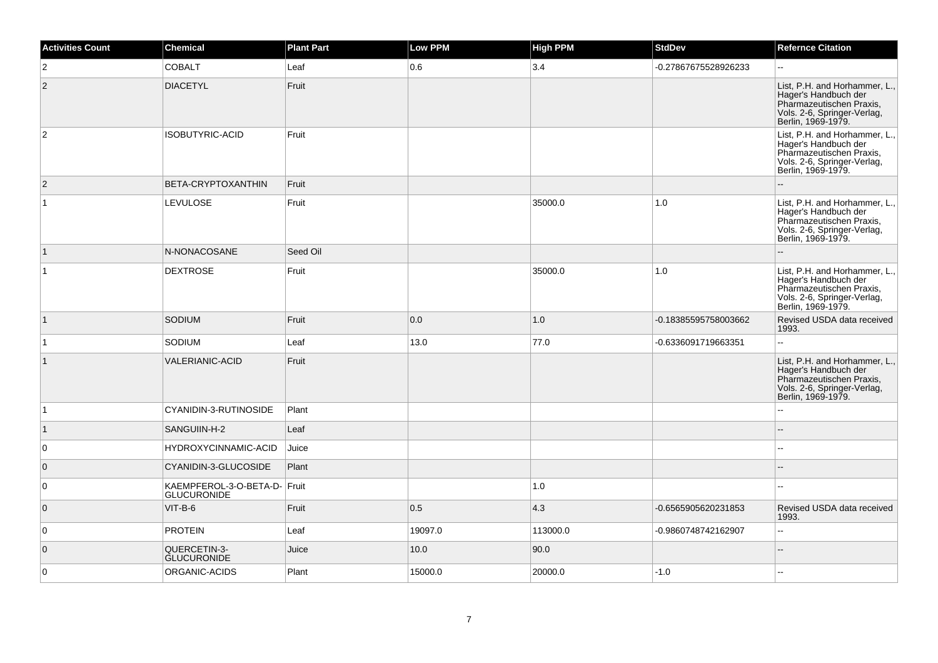| <b>Activities Count</b> | <b>Chemical</b>                                    | <b>Plant Part</b> | Low PPM | <b>High PPM</b> | <b>StdDev</b>        | <b>Refernce Citation</b>                                                                                                               |
|-------------------------|----------------------------------------------------|-------------------|---------|-----------------|----------------------|----------------------------------------------------------------------------------------------------------------------------------------|
| 2                       | <b>COBALT</b>                                      | Leaf              | 0.6     | 3.4             | -0.27867675528926233 | $\sim$                                                                                                                                 |
| 2                       | <b>DIACETYL</b>                                    | Fruit             |         |                 |                      | List, P.H. and Horhammer, L.,<br>Hager's Handbuch der<br>Pharmazeutischen Praxis,<br>Vols. 2-6, Springer-Verlag,<br>Berlin, 1969-1979. |
| 2                       | <b>ISOBUTYRIC-ACID</b>                             | Fruit             |         |                 |                      | List, P.H. and Horhammer, L.,<br>Hager's Handbuch der<br>Pharmazeutischen Praxis,<br>Vols. 2-6, Springer-Verlag,<br>Berlin, 1969-1979. |
| $\overline{2}$          | BETA-CRYPTOXANTHIN                                 | Fruit             |         |                 |                      |                                                                                                                                        |
| 1                       | <b>LEVULOSE</b>                                    | Fruit             |         | 35000.0         | 1.0                  | List, P.H. and Horhammer, L.,<br>Hager's Handbuch der<br>Pharmazeutischen Praxis,<br>Vols. 2-6, Springer-Verlag,<br>Berlin, 1969-1979. |
| $\mathbf{1}$            | N-NONACOSANE                                       | Seed Oil          |         |                 |                      |                                                                                                                                        |
| $\mathbf{1}$            | <b>DEXTROSE</b>                                    | Fruit             |         | 35000.0         | $1.0$                | List, P.H. and Horhammer, L.,<br>Hager's Handbuch der<br>Pharmazeutischen Praxis,<br>Vols. 2-6, Springer-Verlag,<br>Berlin, 1969-1979. |
| $\mathbf{1}$            | SODIUM                                             | Fruit             | 0.0     | 1.0             | -0.18385595758003662 | Revised USDA data received<br>1993.                                                                                                    |
| $\mathbf{1}$            | SODIUM                                             | Leaf              | 13.0    | 77.0            | -0.6336091719663351  |                                                                                                                                        |
| $\vert$ 1               | <b>VALERIANIC-ACID</b>                             | Fruit             |         |                 |                      | List, P.H. and Horhammer, L.,<br>Hager's Handbuch der<br>Pharmazeutischen Praxis,<br>Vols. 2-6, Springer-Verlag,<br>Berlin, 1969-1979. |
| $\overline{1}$          | CYANIDIN-3-RUTINOSIDE                              | Plant             |         |                 |                      |                                                                                                                                        |
| $\mathbf{1}$            | SANGUIIN-H-2                                       | Leaf              |         |                 |                      |                                                                                                                                        |
| 0                       | HYDROXYCINNAMIC-ACID                               | Juice             |         |                 |                      |                                                                                                                                        |
| $\mathbf{0}$            | <b>CYANIDIN-3-GLUCOSIDE</b>                        | Plant             |         |                 |                      |                                                                                                                                        |
| $\overline{0}$          | KAEMPFEROL-3-O-BETA-D- Fruit<br><b>GLUCURONIDE</b> |                   |         | 1.0             |                      |                                                                                                                                        |
| $\overline{0}$          | $VIT-B-6$                                          | Fruit             | 0.5     | 4.3             | -0.6565905620231853  | Revised USDA data received<br>1993.                                                                                                    |
| $\overline{0}$          | <b>PROTEIN</b>                                     | Leaf              | 19097.0 | 113000.0        | -0.9860748742162907  | $\mathbf{u}$                                                                                                                           |
| $\overline{0}$          | QUERCETIN-3-<br><b>GLUCURONIDE</b>                 | Juice             | 10.0    | 90.0            |                      | $\sim$                                                                                                                                 |
| $\overline{0}$          | ORGANIC-ACIDS                                      | Plant             | 15000.0 | 20000.0         | $-1.0$               |                                                                                                                                        |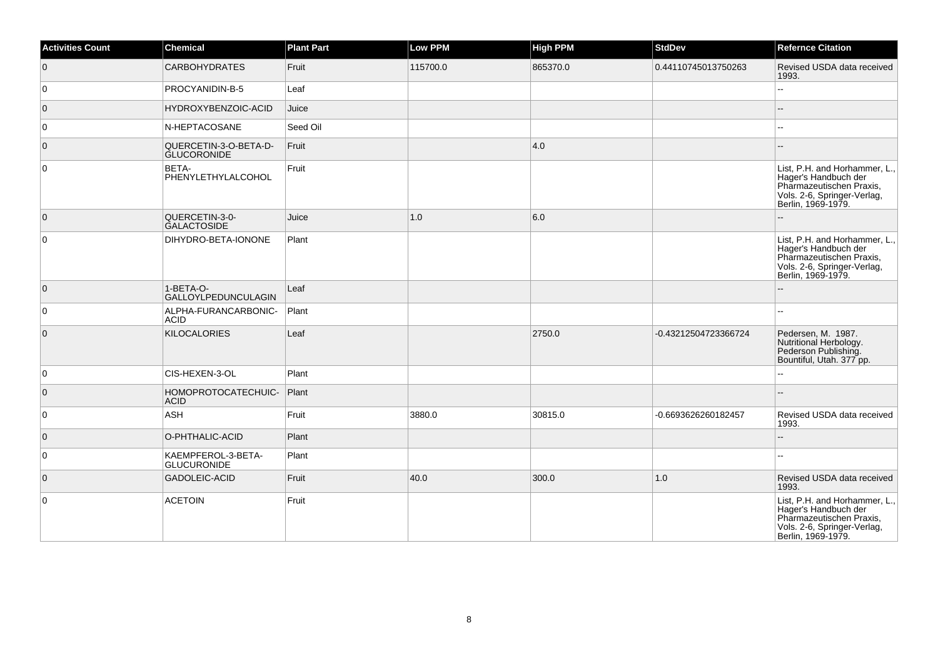| <b>Activities Count</b> | <b>Chemical</b>                             | <b>Plant Part</b> | <b>Low PPM</b> | <b>High PPM</b> | <b>StdDev</b>        | <b>Refernce Citation</b>                                                                                                               |
|-------------------------|---------------------------------------------|-------------------|----------------|-----------------|----------------------|----------------------------------------------------------------------------------------------------------------------------------------|
| $\overline{0}$          | <b>CARBOHYDRATES</b>                        | Fruit             | 115700.0       | 865370.0        | 0.44110745013750263  | Revised USDA data received<br>1993.                                                                                                    |
| $\overline{0}$          | PROCYANIDIN-B-5                             | Leaf              |                |                 |                      | Ξ.                                                                                                                                     |
| $\overline{0}$          | HYDROXYBENZOIC-ACID                         | Juice             |                |                 |                      | --                                                                                                                                     |
| $\overline{0}$          | N-HEPTACOSANE                               | Seed Oil          |                |                 |                      |                                                                                                                                        |
| $\overline{0}$          | QUERCETIN-3-O-BETA-D-<br><b>GLUCORONIDE</b> | Fruit             |                | 4.0             |                      | $-$                                                                                                                                    |
| $\overline{0}$          | BETA-<br>PHENYLETHYLALCOHOL                 | Fruit             |                |                 |                      | List, P.H. and Horhammer, L.,<br>Hager's Handbuch der<br>Pharmazeutischen Praxis,<br>Vols. 2-6, Springer-Verlag,<br>Berlin, 1969-1979. |
| $\overline{0}$          | QUERCETIN-3-0-<br><b>GALACTOSIDE</b>        | Juice             | 1.0            | 6.0             |                      |                                                                                                                                        |
| $\overline{0}$          | DIHYDRO-BETA-IONONE                         | Plant             |                |                 |                      | List, P.H. and Horhammer, L.,<br>Hager's Handbuch der<br>Pharmazeutischen Praxis,<br>Vols. 2-6, Springer-Verlag,<br>Berlin, 1969-1979. |
| $\overline{0}$          | 1-BETA-O-<br>GALLOYLPEDUNCULAGIN            | Leaf              |                |                 |                      |                                                                                                                                        |
| 0                       | ALPHA-FURANCARBONIC-<br><b>ACID</b>         | Plant             |                |                 |                      | шш.                                                                                                                                    |
| $\overline{0}$          | <b>KILOCALORIES</b>                         | Leaf              |                | 2750.0          | -0.43212504723366724 | Pedersen, M. 1987.<br>Nutritional Herbology.<br>Pederson Publishing.<br>Bountiful, Utah. 377 pp.                                       |
| $\overline{0}$          | CIS-HEXEN-3-OL                              | Plant             |                |                 |                      | Щ,                                                                                                                                     |
| $\overline{0}$          | HOMOPROTOCATECHUIC-<br><b>ACID</b>          | Plant             |                |                 |                      |                                                                                                                                        |
| $\overline{0}$          | <b>ASH</b>                                  | Fruit             | 3880.0         | 30815.0         | -0.6693626260182457  | Revised USDA data received<br>1993.                                                                                                    |
| $\overline{0}$          | O-PHTHALIC-ACID                             | Plant             |                |                 |                      |                                                                                                                                        |
| $\overline{0}$          | KAEMPFEROL-3-BETA-<br><b>GLUCURONIDE</b>    | Plant             |                |                 |                      | шш.                                                                                                                                    |
| $\overline{0}$          | <b>GADOLEIC-ACID</b>                        | Fruit             | 40.0           | 300.0           | $1.0$                | Revised USDA data received<br>1993.                                                                                                    |
| $\overline{0}$          | <b>ACETOIN</b>                              | Fruit             |                |                 |                      | List, P.H. and Horhammer, L.,<br>Hager's Handbuch der<br>Pharmazeutischen Praxis,<br>Vols. 2-6, Springer-Verlag,<br>Berlin, 1969-1979. |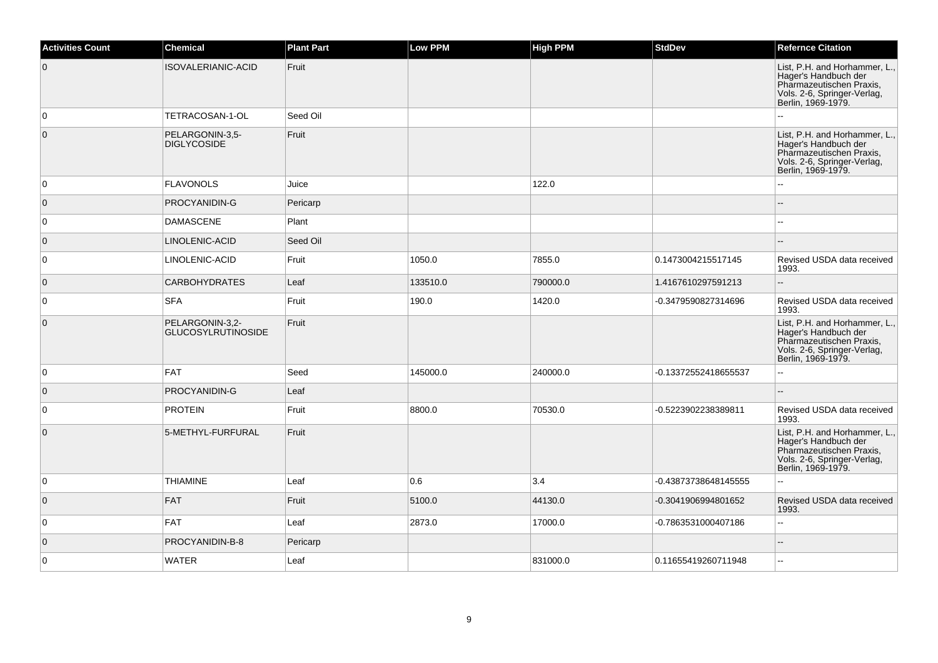| <b>Activities Count</b> | <b>Chemical</b>                              | <b>Plant Part</b> | <b>Low PPM</b> | High PPM | <b>StdDev</b>        | <b>Refernce Citation</b>                                                                                                               |
|-------------------------|----------------------------------------------|-------------------|----------------|----------|----------------------|----------------------------------------------------------------------------------------------------------------------------------------|
| $\overline{0}$          | <b>ISOVALERIANIC-ACID</b>                    | Fruit             |                |          |                      | List, P.H. and Horhammer, L.,<br>Hager's Handbuch der<br>Pharmazeutischen Praxis,<br>Vols. 2-6, Springer-Verlag,<br>Berlin, 1969-1979. |
| $\overline{0}$          | TETRACOSAN-1-OL                              | Seed Oil          |                |          |                      |                                                                                                                                        |
| $\overline{0}$          | PELARGONIN-3,5-<br>DIGLYCOSIDE               | Fruit             |                |          |                      | List, P.H. and Horhammer, L.,<br>Hager's Handbuch der<br>Pharmazeutischen Praxis,<br>Vols. 2-6, Springer-Verlag,<br>Berlin, 1969-1979. |
| $\overline{0}$          | <b>FLAVONOLS</b>                             | Juice             |                | 122.0    |                      |                                                                                                                                        |
| $\overline{0}$          | PROCYANIDIN-G                                | Pericarp          |                |          |                      |                                                                                                                                        |
| $\overline{0}$          | <b>DAMASCENE</b>                             | Plant             |                |          |                      |                                                                                                                                        |
| $\overline{0}$          | LINOLENIC-ACID                               | Seed Oil          |                |          |                      |                                                                                                                                        |
| 0                       | LINOLENIC-ACID                               | Fruit             | 1050.0         | 7855.0   | 0.1473004215517145   | Revised USDA data received<br>1993.                                                                                                    |
| $\overline{0}$          | <b>CARBOHYDRATES</b>                         | Leaf              | 133510.0       | 790000.0 | 1.4167610297591213   | $\overline{a}$                                                                                                                         |
| $\overline{0}$          | <b>SFA</b>                                   | Fruit             | 190.0          | 1420.0   | -0.3479590827314696  | Revised USDA data received<br>1993.                                                                                                    |
| $\overline{0}$          | PELARGONIN-3.2-<br><b>GLUCOSYLRUTINOSIDE</b> | Fruit             |                |          |                      | List, P.H. and Horhammer, L.,<br>Hager's Handbuch der<br>Pharmazeutischen Praxis,<br>Vols. 2-6, Springer-Verlag,<br>Berlin, 1969-1979. |
| 0                       | <b>FAT</b>                                   | Seed              | 145000.0       | 240000.0 | -0.13372552418655537 |                                                                                                                                        |
| $\overline{0}$          | PROCYANIDIN-G                                | Leaf              |                |          |                      |                                                                                                                                        |
| $\overline{0}$          | <b>PROTEIN</b>                               | Fruit             | 8800.0         | 70530.0  | -0.5223902238389811  | Revised USDA data received<br>1993.                                                                                                    |
| $\overline{0}$          | 5-METHYL-FURFURAL                            | Fruit             |                |          |                      | List, P.H. and Horhammer, L.,<br>Hager's Handbuch der<br>Pharmazeutischen Praxis,<br>Vols. 2-6, Springer-Verlag,<br>Berlin, 1969-1979. |
| 0                       | <b>THIAMINE</b>                              | Leaf              | 0.6            | 3.4      | -0.43873738648145555 | $\overline{\phantom{a}}$                                                                                                               |
| $\overline{0}$          | <b>FAT</b>                                   | Fruit             | 5100.0         | 44130.0  | -0.3041906994801652  | Revised USDA data received<br>1993.                                                                                                    |
| $\overline{0}$          | <b>FAT</b>                                   | Leaf              | 2873.0         | 17000.0  | -0.7863531000407186  | $\sim$                                                                                                                                 |
| $\overline{0}$          | PROCYANIDIN-B-8                              | Pericarp          |                |          |                      |                                                                                                                                        |
| $\overline{0}$          | <b>WATER</b>                                 | Leaf              |                | 831000.0 | 0.11655419260711948  |                                                                                                                                        |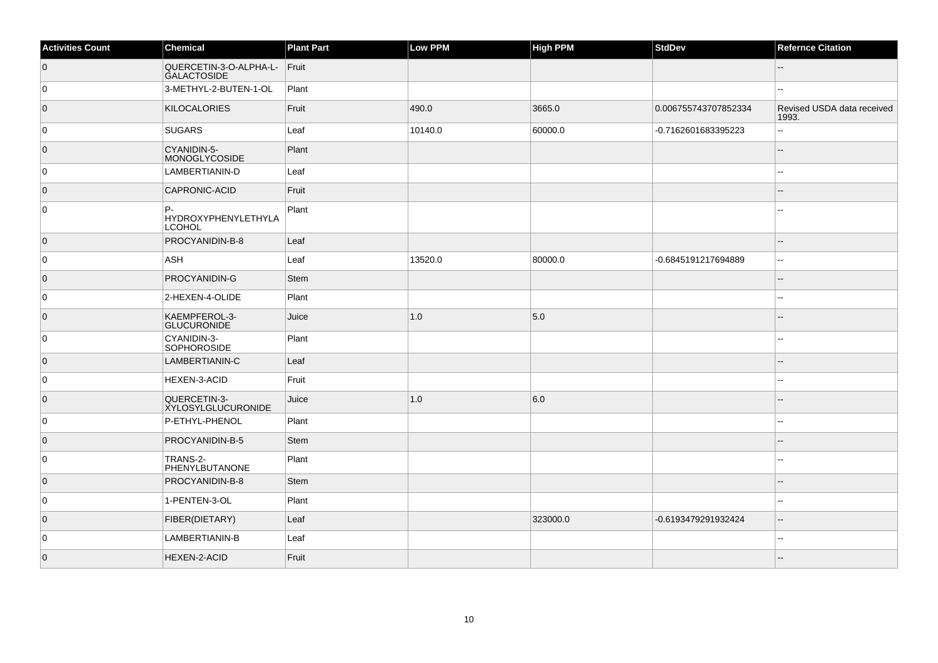| <b>Activities Count</b> | Chemical                                     | <b>Plant Part</b> | Low PPM | <b>High PPM</b> | <b>StdDev</b>        | <b>Refernce Citation</b>            |
|-------------------------|----------------------------------------------|-------------------|---------|-----------------|----------------------|-------------------------------------|
| $\overline{0}$          | QUERCETIN-3-O-ALPHA-L-<br><b>GALACTOSIDE</b> | Fruit             |         |                 |                      | $-$                                 |
| 0                       | 3-METHYL-2-BUTEN-1-OL                        | Plant             |         |                 |                      | --                                  |
| $\overline{0}$          | <b>KILOCALORIES</b>                          | Fruit             | 490.0   | 3665.0          | 0.006755743707852334 | Revised USDA data received<br>1993. |
| 0                       | SUGARS                                       | Leaf              | 10140.0 | 60000.0         | -0.7162601683395223  | 44                                  |
| $\overline{0}$          | CYANIDIN-5-<br>MONOGLYCOSIDE                 | Plant             |         |                 |                      |                                     |
| 0                       | LAMBERTIANIN-D                               | Leaf              |         |                 |                      |                                     |
| $\overline{0}$          | CAPRONIC-ACID                                | Fruit             |         |                 |                      |                                     |
| 0                       | P.<br>HYDROXYPHENYLETHYLA<br><b>LCOHOL</b>   | Plant             |         |                 |                      |                                     |
| $\overline{0}$          | PROCYANIDIN-B-8                              | Leaf              |         |                 |                      | --                                  |
| 0                       | ASH                                          | Leaf              | 13520.0 | 80000.0         | -0.6845191217694889  | $\overline{a}$                      |
| $\overline{0}$          | PROCYANIDIN-G                                | Stem              |         |                 |                      |                                     |
| 0                       | 2-HEXEN-4-OLIDE                              | Plant             |         |                 |                      | --                                  |
| $\overline{0}$          | KAEMPFEROL-3-<br><b>GLUCURONIDE</b>          | Juice             | 1.0     | 5.0             |                      | --                                  |
| 0                       | CYANIDIN-3-<br><b>SOPHOROSIDE</b>            | Plant             |         |                 |                      |                                     |
| $\overline{0}$          | LAMBERTIANIN-C                               | Leaf              |         |                 |                      |                                     |
| 0                       | HEXEN-3-ACID                                 | Fruit             |         |                 |                      |                                     |
| $\overline{0}$          | QUERCETIN-3-<br><b>XYLOSYLGLUCURONIDE</b>    | Juice             | 1.0     | 6.0             |                      |                                     |
| 0                       | P-ETHYL-PHENOL                               | Plant             |         |                 |                      | --                                  |
| $\overline{0}$          | PROCYANIDIN-B-5                              | Stem              |         |                 |                      |                                     |
| 0                       | TRANS-2-<br>PHENYLBUTANONE                   | Plant             |         |                 |                      | --                                  |
| $\overline{0}$          | PROCYANIDIN-B-8                              | Stem              |         |                 |                      |                                     |
| 0                       | 1-PENTEN-3-OL                                | Plant             |         |                 |                      |                                     |
| $\overline{0}$          | FIBER(DIETARY)                               | Leaf              |         | 323000.0        | -0.6193479291932424  |                                     |
| 0                       | LAMBERTIANIN-B                               | Leaf              |         |                 |                      |                                     |
| $\overline{0}$          | <b>HEXEN-2-ACID</b>                          | Fruit             |         |                 |                      |                                     |